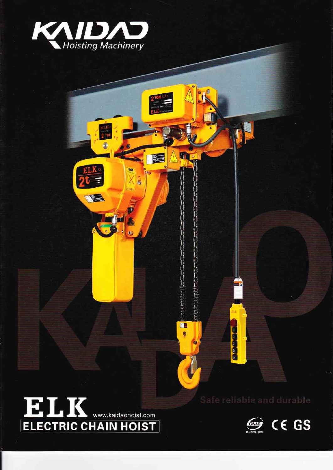

ELK<br>2 701

Ĵ

 $\frac{ELK}{2t}$ 

E

E

m

 $\ddot{\bullet}$ 

்

 $rac{C}{\ln 2}$ 

õ

# ELK WW.Kaidaohoist.com

30000

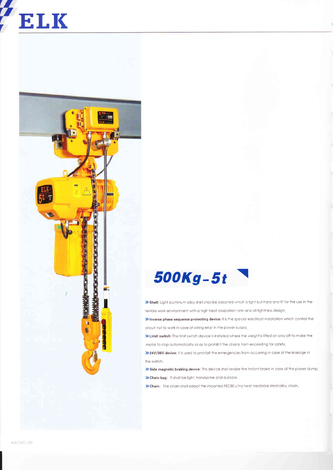## **ELK**



### 500Kg-5t

>> Shell: Light aluminum alloy shell shall be adopted which is light but hard and fit for the use in the terrible work environment with a high heat dissipation rate and all tightness design.

> Inverse phase sequence protecting device: it is the special electrical installation which control the circuit not to work in case of wiring error in the power supply.

>> Limit switch: The limit switch device is installed where the weight is lifted on and off to make the motor to stop automatically so as to prohibit the chains from exceeding for safety,

>> 24V/36V device: it is used to prohibit the emergencies from occurring in case of the leakage in the switch.

>> Side magnetic braking device: This device shall realize the instant brake in case of the power dump, > Chain bag: It shall be light, handsome and durable.

>> Chain: The chain shall adopt the imported FEC80 ultra heat-treatable steel alloy chain,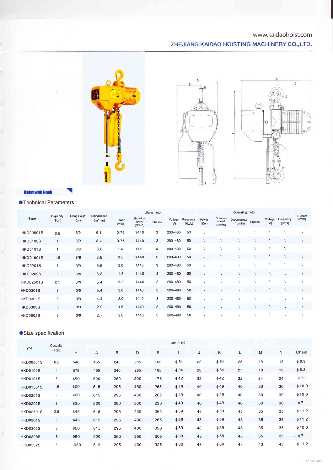#### www.kaidaohoist.com

#### ZHEJIANG KAIDAO HOISTING MACHINERY CO., LTD.







#### **Hoist with Hook**

#### ●Technical Parameters

| Type             | Capacity<br>(Ton) | <b>Lifting Height</b><br>(m) | <b>Lifting Speed</b><br>(m/min) | Lifting motor |                              |        |                | Operating motor     |               |                              |                            |        |                | I-Beam              |      |  |
|------------------|-------------------|------------------------------|---------------------------------|---------------|------------------------------|--------|----------------|---------------------|---------------|------------------------------|----------------------------|--------|----------------|---------------------|------|--|
|                  |                   |                              |                                 | Power<br>(Kw) | Rotation<br>speed<br>(r/min) | Phases | Voltage<br>(V) | Frequency<br>(Hz/s) | Power<br>(Kw) | Rolation<br>speed<br>(r/min) | Operating speed<br>(m/min) | Phases | Vollage<br>(V) | Frequency<br>(Hz/s) | (mm) |  |
| <b>HKD00501S</b> | 0.5               | 3/9                          | 6.8                             | 0:75          | 1440                         | 3      | 200-480        | 50                  |               |                              |                            |        |                |                     |      |  |
| <b>HKD0102S</b>  |                   | 3/9                          | 3.4                             | 0.75          | 1440                         | 3      | 200-480        | 50                  |               |                              |                            |        |                |                     |      |  |
| <b>HKD0101S</b>  |                   | 3/9                          | 6.6                             | 1.5           | 1440                         | 3      | 200-480        | 50                  |               |                              |                            |        |                |                     |      |  |
| <b>HKD01501S</b> | 1.5               | 3/9                          | 8.8                             | 3.0           | 1440                         | 3      | 200-480        | 50                  |               |                              |                            |        |                |                     |      |  |
| <b>HKD0201S</b>  | $\overline{c}$    | 3/9                          | 6.6                             | 3.0           | 1440                         | 3      | 200-480        | 50                  |               |                              |                            |        |                |                     |      |  |
| <b>HKD0202S</b>  | $\overline{2}$    | 3/9                          | 3.3                             | 1.5           | 1440                         | 3      | 200-480        | 50                  |               |                              |                            |        |                |                     |      |  |
| <b>HKD02501S</b> | 2.5               | 3/9                          | 5.4                             | 3.0           | 1440                         | 3      | 200-480        | 50                  |               |                              |                            |        |                |                     |      |  |
| <b>HKD0301S</b>  | 3                 | 3/9                          | 5.4                             | 3.0           | 1440                         | 3      | 200-480        | 50                  |               |                              |                            |        |                |                     |      |  |
| <b>HKD0302S</b>  | 3                 | 3/9                          | 4.4                             | 3.0           | 1440                         | 3      | 200-480        | 50                  |               |                              |                            |        |                |                     |      |  |
| <b>HKD0303S</b>  | 3                 | 3/9                          | 2.2                             | 1.5           | 1440                         | 3      | 200-480        | 50                  |               |                              |                            |        |                |                     |      |  |
| <b>HKD0502S</b>  | 5                 | 3/9                          | 2.7                             | 3.0           | 1440                         | 3      | 200-480        | 50                  |               |                              |                            |        |                |                     |      |  |

#### Size specification

| Type             | Capacity       | Unit (mm) |     |     |     |     |           |    |           |    |    |    |              |  |
|------------------|----------------|-----------|-----|-----|-----|-----|-----------|----|-----------|----|----|----|--------------|--|
|                  | (Ton)          | H         | Ä   | в   | D   | Ε   |           | J  | Κ         | L  | M  | Ν  | Chain        |  |
| <b>HKD00501S</b> | 0.5            | 540       | 455 | 240 | 285 | 165 | $\phi$ 34 | 28 | $\phi$ 34 | 25 | 19 | 19 | $\phi$ 6.3   |  |
| <b>HKD0102S</b>  | $\overline{1}$ | 575       | 455 | 240 | 285 | 165 | $\phi$ 34 | 28 | $\phi$ 34 | 25 | 19 | 19 | $\phi$ 6.3   |  |
| <b>HKD0101S</b>  |                | 650       | 520 | 260 | 300 | 176 | $\phi$ 42 | 32 | $\phi$ 42 | 32 | 24 | 24 | $\phi$ 7.1   |  |
| <b>HKD01501S</b> | 1:5            | 800       | 615 | 295 | 430 | 265 | $\phi$ 49 | 40 | $\phi$ 49 | 40 | 30 | 30 | $\phi$ 10.0  |  |
| <b>HKD0201S</b>  | $\overline{2}$ | 800       | 615 | 295 | 430 | 265 | $\phi$ 49 | 40 | $\phi$ 49 | 40 | 30 | 30 | 0.016        |  |
| <b>HKD0202S</b>  | $\overline{2}$ | 835       | 520 | 260 | 300 | 236 | $\phi$ 49 | 40 | $\phi$ 49 | 40 | 30 | 30 | $\phi$ 7.1   |  |
| <b>HKD02501S</b> | 2.5            | 845       | 615 | 295 | 430 | 265 | $\phi$ 59 | 48 | $\phi$ 59 | 48 | 35 | 35 | $\phi$ 11.2  |  |
| <b>HKD0301S</b>  | 3              | 845       | 615 | 295 | 430 | 265 | $\phi$ 59 | 48 | $\phi$ 59 | 48 | 35 | 35 | $\phi$ 11.2  |  |
| <b>HKD0302S</b>  | 3              | 950       | 615 | 295 | 430 | 320 | $\phi$ 59 | 48 | $\phi$ 59 | 48 | 35 | 35 | $+10.0$      |  |
| <b>HKD0303S</b>  | 3              | 950       | 520 | 260 | 350 | 205 | $\phi$ 59 | 48 | $\phi$ 59 | 48 | 35 | 35 | $. \phi 7.1$ |  |
| <b>HKD0502S</b>  | 5              | 1030      | 615 | 295 | 430 | 325 | $\phi$ 60 | 48 | $\phi$ 60 | 48 | 43 | 43 | $\phi$ 11.2  |  |